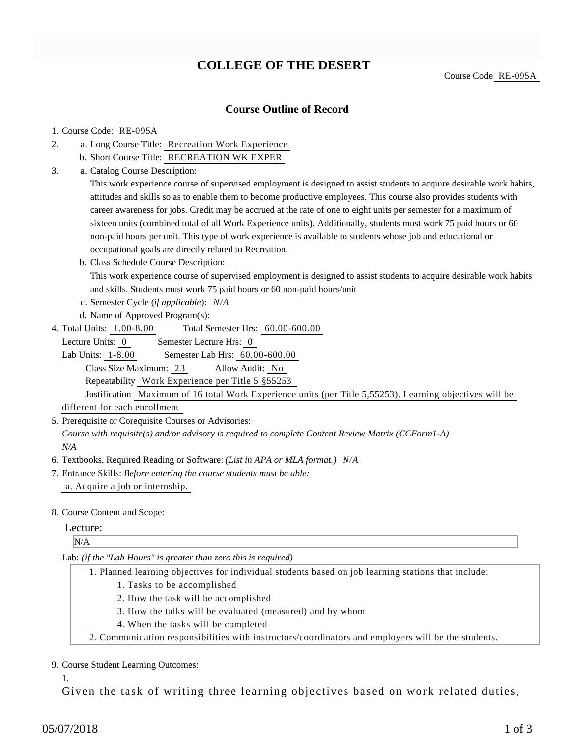# **COLLEGE OF THE DESERT**

Course Code RE-095A

## **Course Outline of Record**

#### 1. Course Code: RE-095A

- a. Long Course Title: Recreation Work Experience 2.
	- b. Short Course Title: RECREATION WK EXPER
- Catalog Course Description: a. 3.

This work experience course of supervised employment is designed to assist students to acquire desirable work habits, attitudes and skills so as to enable them to become productive employees. This course also provides students with career awareness for jobs. Credit may be accrued at the rate of one to eight units per semester for a maximum of sixteen units (combined total of all Work Experience units). Additionally, students must work 75 paid hours or 60 non-paid hours per unit. This type of work experience is available to students whose job and educational or occupational goals are directly related to Recreation.

b. Class Schedule Course Description:

This work experience course of supervised employment is designed to assist students to acquire desirable work habits and skills. Students must work 75 paid hours or 60 non-paid hours/unit

- c. Semester Cycle (*if applicable*): *N/A*
- d. Name of Approved Program(s):
- Total Semester Hrs:  $60.00-600.00$ 4. Total Units: 1.00-8.00

Lecture Units: 0 Semester Lecture Hrs: 0

Lab Units: 1-8.00 Semester Lab Hrs: 60.00-600.00 Class Size Maximum: 23 Allow Audit: No Repeatability Work Experience per Title 5 §55253

Justification Maximum of 16 total Work Experience units (per Title 5,55253). Learning objectives will be different for each enrollment

5. Prerequisite or Corequisite Courses or Advisories:

*Course with requisite(s) and/or advisory is required to complete Content Review Matrix (CCForm1-A) N/A*

- 6. Textbooks, Required Reading or Software: *(List in APA or MLA format.) N/A*
- Entrance Skills: *Before entering the course students must be able:* 7. a. Acquire a job or internship.

#### 8. Course Content and Scope:

#### Lecture:

### N/A

Lab: *(if the "Lab Hours" is greater than zero this is required)*

- Planned learning objectives for individual students based on job learning stations that include: 1.
	- 1. Tasks to be accomplished
	- 2. How the task will be accomplished
	- 3. How the talks will be evaluated (measured) and by whom
	- 4. When the tasks will be completed
- 2. Communication responsibilities with instructors/coordinators and employers will be the students.

9. Course Student Learning Outcomes:

1.

Given the task of writing three learning objectives based on work related duties,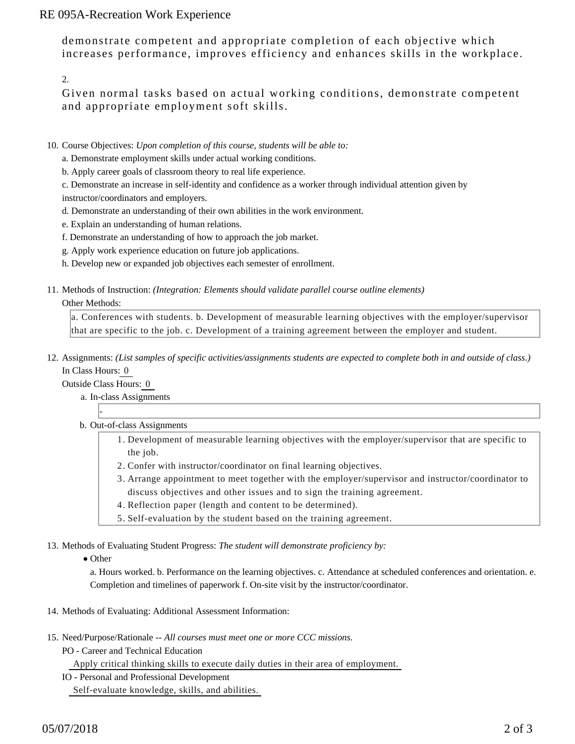# RE 095A-Recreation Work Experience

demonstrate competent and appropriate completion of each objective which increases performance, improves efficiency and enhances skills in the workplace.

2.

Given normal tasks based on actual working conditions, demonstrate competent and appropriate employment soft skills.

- 10. Course Objectives: Upon completion of this course, students will be able to:
	- a. Demonstrate employment skills under actual working conditions.
	- b. Apply career goals of classroom theory to real life experience.
	- c. Demonstrate an increase in self-identity and confidence as a worker through individual attention given by instructor/coordinators and employers.
	- d. Demonstrate an understanding of their own abilities in the work environment.
	- e. Explain an understanding of human relations.
	- f. Demonstrate an understanding of how to approach the job market.
	- g. Apply work experience education on future job applications.
	- h. Develop new or expanded job objectives each semester of enrollment.
- 11. Methods of Instruction: *(Integration: Elements should validate parallel course outline elements)*

#### Other Methods:

a. Conferences with students. b. Development of measurable learning objectives with the employer/supervisor that are specific to the job. c. Development of a training agreement between the employer and student.

12. Assignments: (List samples of specific activities/assignments students are expected to complete both in and outside of class.) In Class Hours: 0

Outside Class Hours: 0

-

- a. In-class Assignments
- b. Out-of-class Assignments
	- 1. Development of measurable learning objectives with the employer/supervisor that are specific to the job.
	- 2. Confer with instructor/coordinator on final learning objectives.
	- Arrange appointment to meet together with the employer/supervisor and instructor/coordinator to 3. discuss objectives and other issues and to sign the training agreement.
	- 4. Reflection paper (length and content to be determined).
	- 5. Self-evaluation by the student based on the training agreement.

13. Methods of Evaluating Student Progress: The student will demonstrate proficiency by:

• Other

a. Hours worked. b. Performance on the learning objectives. c. Attendance at scheduled conferences and orientation. e. Completion and timelines of paperwork f. On-site visit by the instructor/coordinator.

- 14. Methods of Evaluating: Additional Assessment Information:
- 15. Need/Purpose/Rationale -- All courses must meet one or more CCC missions.
	- PO Career and Technical Education

Apply critical thinking skills to execute daily duties in their area of employment.

IO - Personal and Professional Development

Self-evaluate knowledge, skills, and abilities.